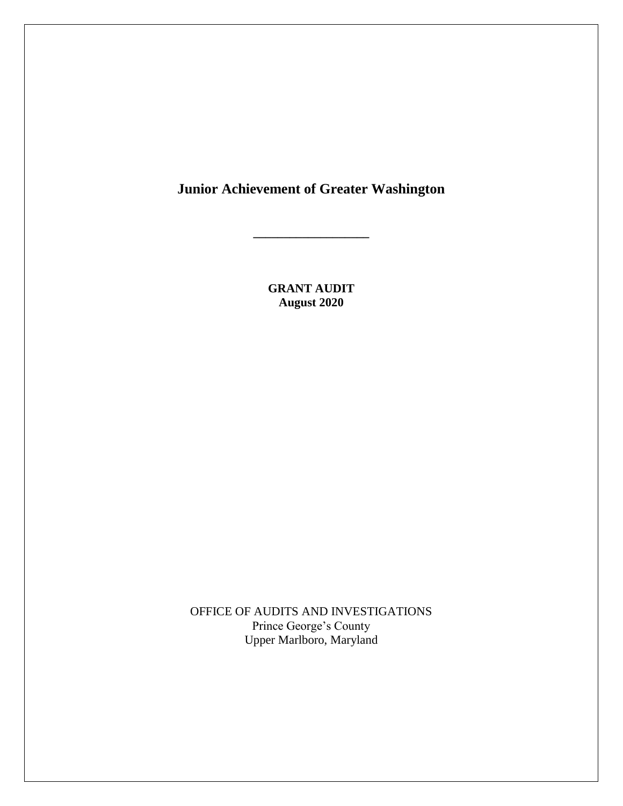# **Junior Achievement of Greater Washington**

**\_\_\_\_\_\_\_\_\_\_\_\_\_\_\_\_\_\_\_**

**GRANT AUDIT August 2020**

OFFICE OF AUDITS AND INVESTIGATIONS Prince George's County Upper Marlboro, Maryland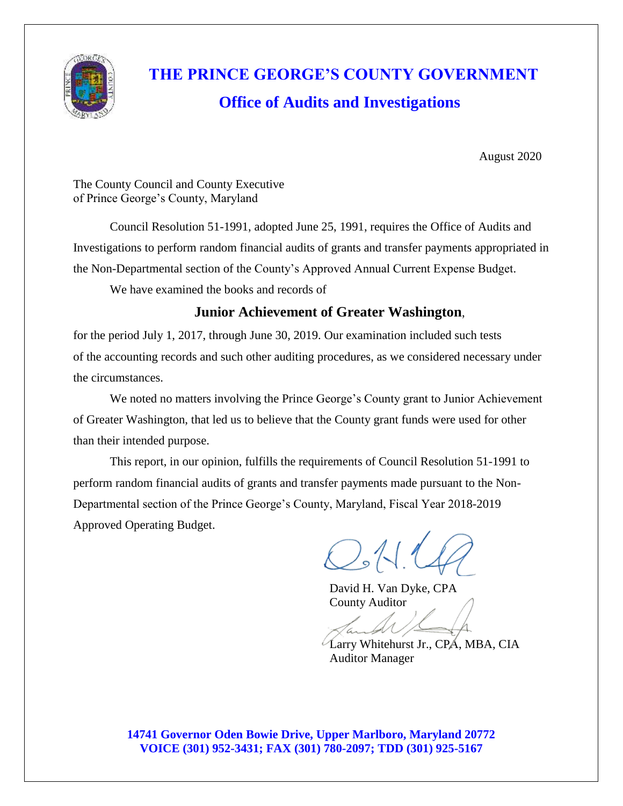

# **THE PRINCE GEORGE'S COUNTY GOVERNMENT Office of Audits and Investigations**

August 2020

The County Council and County Executive of Prince George's County, Maryland

Council Resolution 51-1991, adopted June 25, 1991, requires the Office of Audits and Investigations to perform random financial audits of grants and transfer payments appropriated in the Non-Departmental section of the County's Approved Annual Current Expense Budget.

We have examined the books and records of

## **Junior Achievement of Greater Washington**,

for the period July 1, 2017, through June 30, 2019. Our examination included such tests of the accounting records and such other auditing procedures, as we considered necessary under the circumstances.

We noted no matters involving the Prince George's County grant to Junior Achievement of Greater Washington, that led us to believe that the County grant funds were used for other than their intended purpose.

This report, in our opinion, fulfills the requirements of Council Resolution 51-1991 to perform random financial audits of grants and transfer payments made pursuant to the Non-Departmental section of the Prince George's County, Maryland, Fiscal Year 2018-2019 Approved Operating Budget.

 $O:11$ 

David H. Van Dyke, CPA County Auditor

Larry Whitehurst Jr., CPA, MBA, CIA Auditor Manager

**14741 Governor Oden Bowie Drive, Upper Marlboro, Maryland 20772 VOICE (301) 952-3431; FAX (301) 780-2097; TDD (301) 925-5167**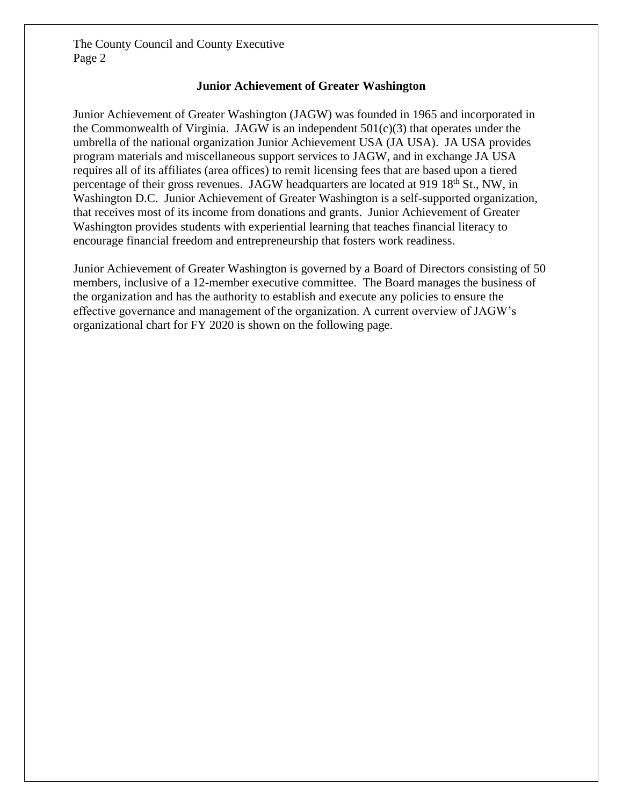#### **Junior Achievement of Greater Washington**

Junior Achievement of Greater Washington (JAGW) was founded in 1965 and incorporated in the Commonwealth of Virginia. JAGW is an independent  $501(c)(3)$  that operates under the umbrella of the national organization Junior Achievement USA (JA USA). JA USA provides program materials and miscellaneous support services to JAGW, and in exchange JA USA requires all of its affiliates (area offices) to remit licensing fees that are based upon a tiered percentage of their gross revenues. JAGW headquarters are located at 919 18<sup>th</sup> St., NW, in Washington D.C. Junior Achievement of Greater Washington is a self-supported organization, that receives most of its income from donations and grants. Junior Achievement of Greater Washington provides students with experiential learning that teaches financial literacy to encourage financial freedom and entrepreneurship that fosters work readiness.

Junior Achievement of Greater Washington is governed by a Board of Directors consisting of 50 members, inclusive of a 12-member executive committee. The Board manages the business of the organization and has the authority to establish and execute any policies to ensure the effective governance and management of the organization. A current overview of JAGW's [organizational](https://pgccouncil.auditboardapp.com/download?file_id=3097&name=FY20%20Org%20Chart.pptx) chart for FY 2020 is shown on the following page.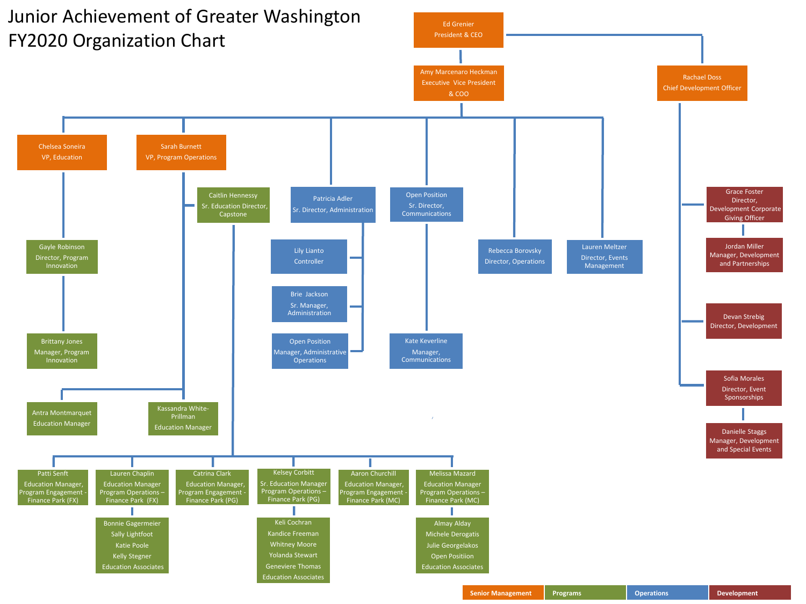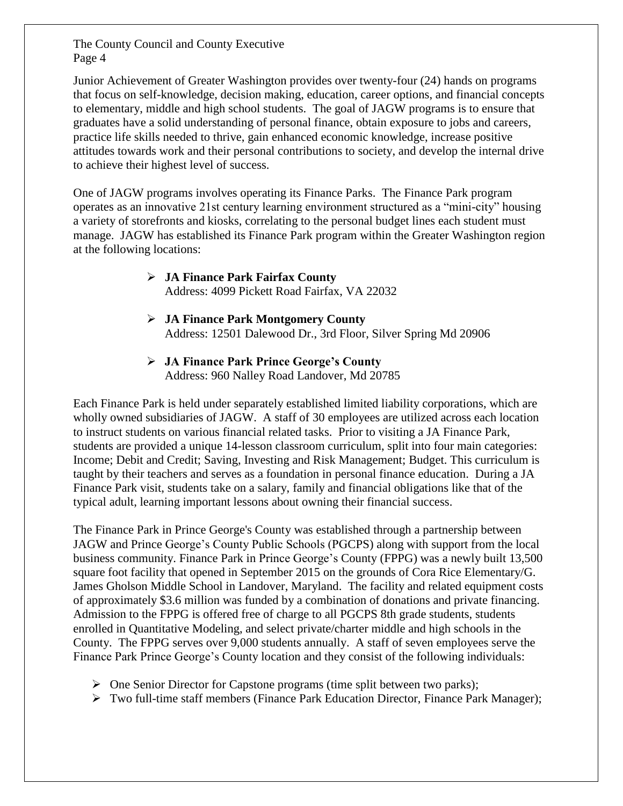Junior Achievement of Greater Washington provides over twenty-four (24) hands on programs that focus on self-knowledge, decision making, education, career options, and financial concepts to elementary, middle and high school students. The goal of JAGW programs is to ensure that graduates have a solid understanding of personal finance, obtain exposure to jobs and careers, practice life skills needed to thrive, gain enhanced economic knowledge, increase positive attitudes towards work and their personal contributions to society, and develop the internal drive to achieve their highest level of success.

One of JAGW programs involves operating its Finance Parks. The Finance Park program operates as an innovative 21st century learning environment structured as a "mini-city" housing a variety of storefronts and kiosks, correlating to the personal budget lines each student must manage. JAGW has established its Finance Park program within the Greater Washington region at the following locations:

#### ➢ **JA Finance Park Fairfax County**

Address: 4099 Pickett Road Fairfax, VA 22032

- ➢ **JA Finance Park Montgomery County** Address: 12501 Dalewood Dr., 3rd Floor, Silver Spring Md 20906
- ➢ **JA Finance Park Prince George's County** Address: 960 Nalley Road Landover, Md 20785

Each Finance Park is held under separately established limited liability corporations, which are wholly owned subsidiaries of JAGW. A staff of 30 employees are utilized across each location to instruct students on various financial related tasks. Prior to visiting a JA Finance Park, students are provided a unique 14-lesson classroom curriculum, split into four main categories: Income; Debit and Credit; Saving, Investing and Risk Management; Budget. This curriculum is taught by their teachers and serves as a foundation in personal finance education. During a JA Finance Park visit, students take on a salary, family and financial obligations like that of the typical adult, learning important lessons about owning their financial success.

The Finance Park in Prince George's County was established through a partnership between JAGW and Prince George's County Public Schools (PGCPS) along with support from the local business community. Finance Park in Prince George's County (FPPG) was a newly built 13,500 square foot facility that opened in September 2015 on the grounds of Cora Rice Elementary/G. James Gholson Middle School in Landover, Maryland. The facility and related equipment costs of approximately \$3.6 million was funded by a combination of donations and private financing. Admission to the FPPG is offered free of charge to all PGCPS 8th grade students, students enrolled in Quantitative Modeling, and select private/charter middle and high schools in the County. The FPPG serves over 9,000 students annually. A staff of seven employees serve the Finance Park Prince George's County location and they consist of the following individuals:

- $\triangleright$  One Senior Director for Capstone programs (time split between two parks);
- ➢ Two full-time staff members (Finance Park Education Director, Finance Park Manager);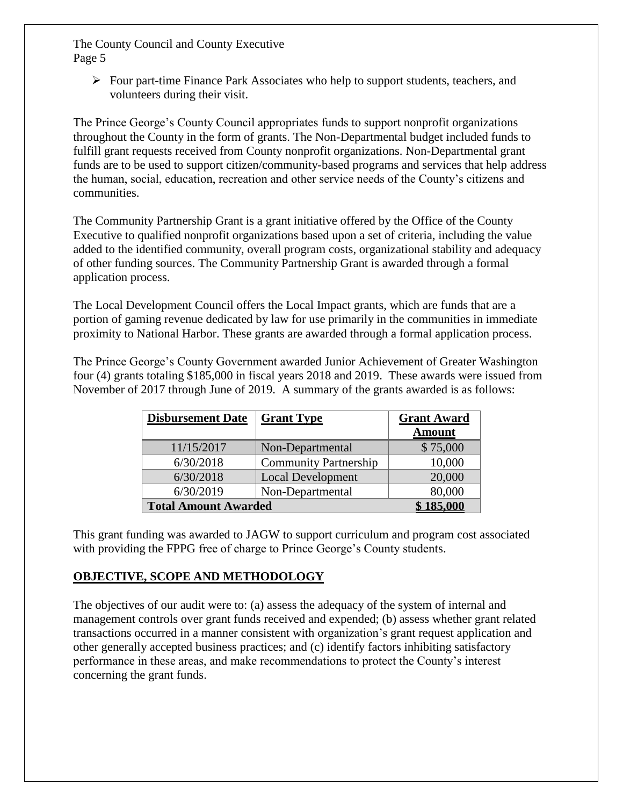$\triangleright$  Four part-time Finance Park Associates who help to support students, teachers, and volunteers during their visit.

The Prince George's County Council appropriates funds to support nonprofit organizations throughout the County in the form of grants. The Non-Departmental budget included funds to fulfill grant requests received from County nonprofit organizations. Non-Departmental grant funds are to be used to support citizen/community-based programs and services that help address the human, social, education, recreation and other service needs of the County's citizens and communities.

The Community Partnership Grant is a grant initiative offered by the Office of the County Executive to qualified nonprofit organizations based upon a set of criteria, including the value added to the identified community, overall program costs, organizational stability and adequacy of other funding sources. The Community Partnership Grant is awarded through a formal application process.

The Local Development Council offers the Local Impact grants, which are funds that are a portion of gaming revenue dedicated by law for use primarily in the communities in immediate proximity to National Harbor. These grants are awarded through a formal application process.

The Prince George's County Government awarded Junior Achievement of Greater Washington four (4) grants totaling \$185,000 in fiscal years 2018 and 2019. These awards were issued from November of 2017 through June of 2019. A summary of the grants awarded is as follows:

| <b>Disbursement Date</b>    | <b>Grant Type</b>            | <b>Grant Award</b> |  |
|-----------------------------|------------------------------|--------------------|--|
|                             |                              | <b>Amount</b>      |  |
| 11/15/2017                  | Non-Departmental             | \$75,000           |  |
| 6/30/2018                   | <b>Community Partnership</b> | 10,000             |  |
| 6/30/2018                   | <b>Local Development</b>     | 20,000             |  |
| 6/30/2019                   | Non-Departmental             | 80,000             |  |
| <b>Total Amount Awarded</b> |                              | 185,000            |  |

This grant funding was awarded to JAGW to support curriculum and program cost associated with providing the FPPG free of charge to Prince George's County students.

#### **OBJECTIVE, SCOPE AND METHODOLOGY**

The objectives of our audit were to: (a) assess the adequacy of the system of internal and management controls over grant funds received and expended; (b) assess whether grant related transactions occurred in a manner consistent with organization's grant request application and other generally accepted business practices; and (c) identify factors inhibiting satisfactory performance in these areas, and make recommendations to protect the County's interest concerning the grant funds.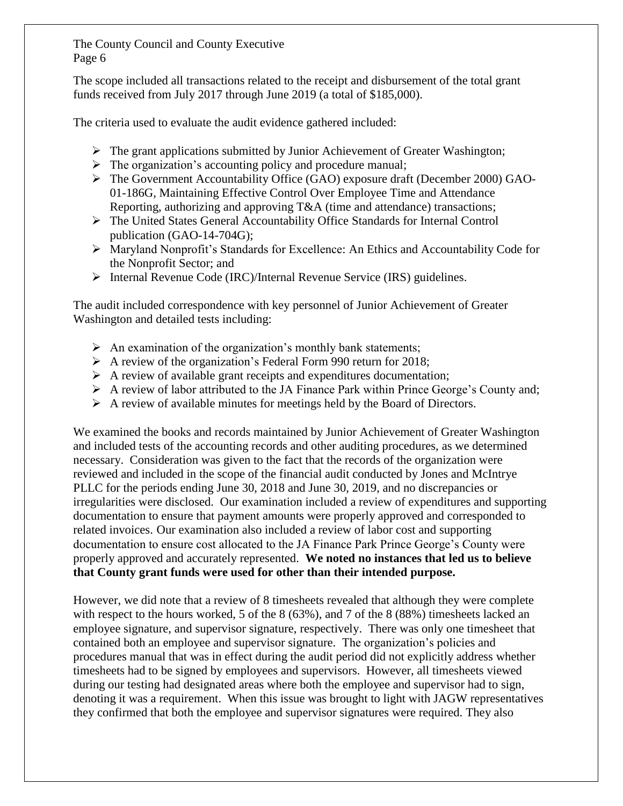The scope included all transactions related to the receipt and disbursement of the total grant funds received from July 2017 through June 2019 (a total of \$185,000).

The criteria used to evaluate the audit evidence gathered included:

- ➢ The grant applications submitted by Junior Achievement of Greater Washington;
- ➢ The organization's [accounting policy and procedure manual;](https://pgccouncil.auditboardapp.com/download?file_id=3106&name=Accounting%20Procedures%20Manual%207.27.11.doc)
- ➢ The Government Accountability Office (GAO) exposure draft (December 2000) GAO-01-186G, Maintaining Effective Control Over Employee Time and Attendance Reporting, authorizing and approving T&A (time and attendance) transactions;
- ➢ The United States General Accountability Office Standards for Internal Control publication [\(GAO-14-704G\);](https://www.gao.gov/assets/670/665712.pdf)
- ➢ [Maryland Nonprofit's Standards for Excellence:](https://standardsforexcellence.org/Home-2/code) An Ethics and Accountability Code for the Nonprofit Sector; and
- ➢ Internal Revenue Code (IRC)/Internal Revenue Service (IRS) guidelines.

The audit included correspondence with key personnel of Junior Achievement of Greater Washington and detailed tests including:

- $\triangleright$  An examination of the organization's monthly bank statements;
- ➢ A review of the organization's Federal Form 990 return for 2018;
- $\triangleright$  A review of available grant receipts and expenditures documentation;
- ➢ A review of labor attributed to the JA Finance Park within Prince George's County and;
- $\triangleright$  A review of available minutes for meetings held by the Board of Directors.

We examined the books and records maintained by Junior Achievement of Greater Washington and included tests of the accounting records and other auditing procedures, as we determined necessary. Consideration was given to the fact that the records of the organization were reviewed and included in the scope of the financial audit conducted by Jones and McIntrye PLLC for the periods ending June 30, 2018 and June 30, 2019, and no discrepancies or irregularities were disclosed. Our examination included a review of expenditures and supporting documentation to ensure that payment amounts were properly approved and corresponded to related invoices. Our examination also included a review of labor cost and supporting documentation to ensure cost allocated to the JA Finance Park Prince George's County were properly approved and accurately represented. **We noted no instances that led us to believe that County grant funds were used for other than their intended purpose.**

However, we did note that a review of 8 timesheets revealed that although they were complete with respect to the hours worked, 5 of the 8 (63%), and 7 of the 8 (88%) timesheets lacked an employee signature, and supervisor signature, respectively. There was only one timesheet that contained both an employee and supervisor signature. The organization's policies and procedures manual that was in effect during the audit period did not explicitly address whether timesheets had to be signed by employees and supervisors. However, all timesheets viewed during our testing had designated areas where both the employee and supervisor had to sign, denoting it was a requirement. When this issue was brought to light with JAGW representatives they confirmed that both the employee and supervisor signatures were required. They also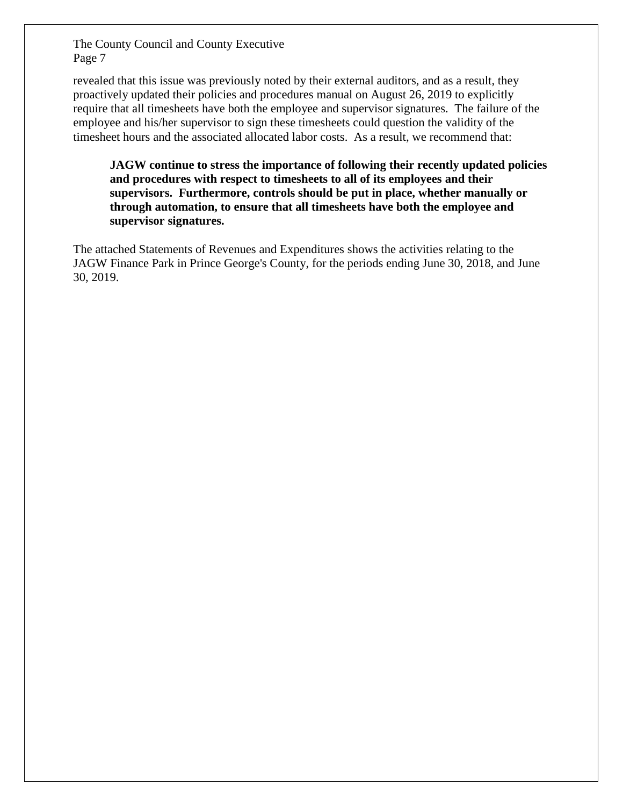revealed that this issue was previously noted by their external auditors, and as a result, they proactively updated their policies and procedures manual on August 26, 2019 to explicitly require that all timesheets have both the employee and supervisor signatures. The failure of the employee and his/her supervisor to sign these timesheets could question the validity of the timesheet hours and the associated allocated labor costs. As a result, we recommend that:

**JAGW continue to stress the importance of following their recently updated policies and procedures with respect to timesheets to all of its employees and their supervisors. Furthermore, controls should be put in place, whether manually or through automation, to ensure that all timesheets have both the employee and supervisor signatures.** 

The attached Statements of Revenues and Expenditures shows the activities relating to the JAGW Finance Park in Prince George's County, for the periods ending June 30, 2018, and June 30, 2019.